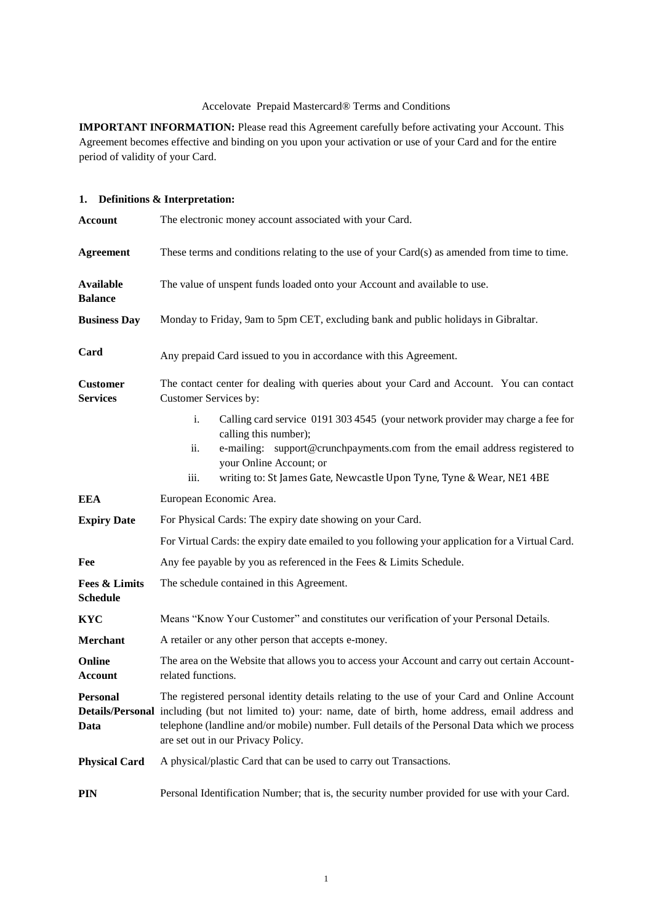## Accelovate Prepaid Mastercard® Terms and Conditions

**IMPORTANT INFORMATION:** Please read this Agreement carefully before activating your Account. This Agreement becomes effective and binding on you upon your activation or use of your Card and for the entire period of validity of your Card.

# **1. Definitions & Interpretation:**

| <b>Account</b>                              | The electronic money account associated with your Card.                                                                                                                                                                                                                                                                                           |  |  |
|---------------------------------------------|---------------------------------------------------------------------------------------------------------------------------------------------------------------------------------------------------------------------------------------------------------------------------------------------------------------------------------------------------|--|--|
| <b>Agreement</b>                            | These terms and conditions relating to the use of your Card(s) as amended from time to time.                                                                                                                                                                                                                                                      |  |  |
| <b>Available</b><br><b>Balance</b>          | The value of unspent funds loaded onto your Account and available to use.                                                                                                                                                                                                                                                                         |  |  |
| <b>Business Day</b>                         | Monday to Friday, 9am to 5pm CET, excluding bank and public holidays in Gibraltar.                                                                                                                                                                                                                                                                |  |  |
| Card                                        | Any prepaid Card issued to you in accordance with this Agreement.                                                                                                                                                                                                                                                                                 |  |  |
| <b>Customer</b><br><b>Services</b>          | The contact center for dealing with queries about your Card and Account. You can contact<br>Customer Services by:                                                                                                                                                                                                                                 |  |  |
|                                             | i.<br>Calling card service 0191 303 4545 (your network provider may charge a fee for<br>calling this number);<br>ii.<br>e-mailing: support@crunchpayments.com from the email address registered to<br>your Online Account; or<br>writing to: St James Gate, Newcastle Upon Tyne, Tyne & Wear, NE1 4BE<br>iii.                                     |  |  |
| EEA                                         | European Economic Area.                                                                                                                                                                                                                                                                                                                           |  |  |
| <b>Expiry Date</b>                          | For Physical Cards: The expiry date showing on your Card.                                                                                                                                                                                                                                                                                         |  |  |
|                                             | For Virtual Cards: the expiry date emailed to you following your application for a Virtual Card.                                                                                                                                                                                                                                                  |  |  |
| Fee                                         | Any fee payable by you as referenced in the Fees & Limits Schedule.                                                                                                                                                                                                                                                                               |  |  |
| <b>Fees &amp; Limits</b><br><b>Schedule</b> | The schedule contained in this Agreement.                                                                                                                                                                                                                                                                                                         |  |  |
| <b>KYC</b>                                  | Means "Know Your Customer" and constitutes our verification of your Personal Details.                                                                                                                                                                                                                                                             |  |  |
| Merchant                                    | A retailer or any other person that accepts e-money.                                                                                                                                                                                                                                                                                              |  |  |
| Online<br><b>Account</b>                    | The area on the Website that allows you to access your Account and carry out certain Account-<br>related functions.                                                                                                                                                                                                                               |  |  |
| <b>Personal</b><br>Data                     | The registered personal identity details relating to the use of your Card and Online Account<br>Details/Personal including (but not limited to) your: name, date of birth, home address, email address and<br>telephone (landline and/or mobile) number. Full details of the Personal Data which we process<br>are set out in our Privacy Policy. |  |  |
| <b>Physical Card</b>                        | A physical/plastic Card that can be used to carry out Transactions.                                                                                                                                                                                                                                                                               |  |  |
| <b>PIN</b>                                  | Personal Identification Number; that is, the security number provided for use with your Card.                                                                                                                                                                                                                                                     |  |  |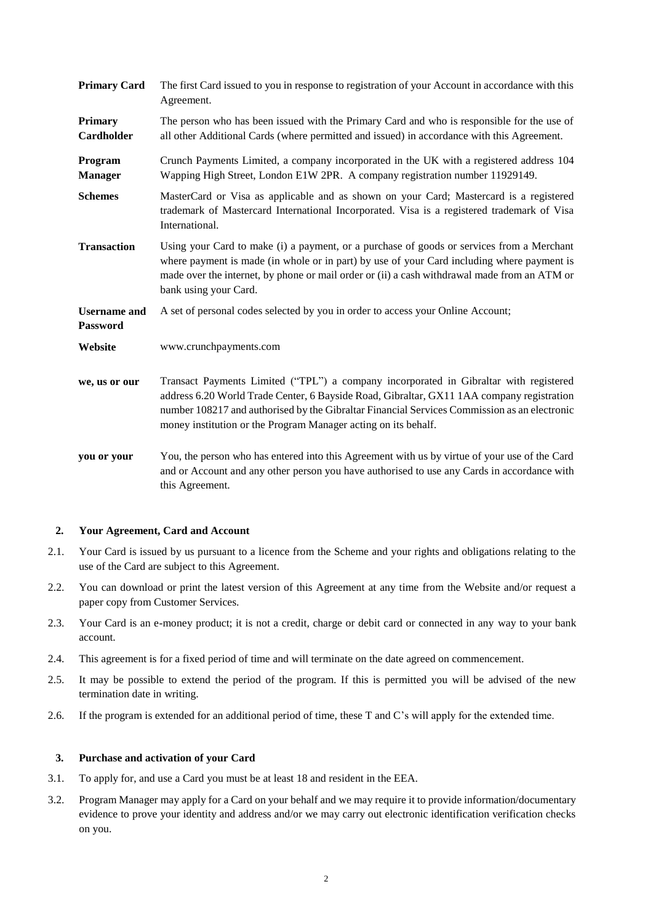| <b>Primary Card</b>                    | The first Card issued to you in response to registration of your Account in accordance with this<br>Agreement.                                                                                                                                                                                                                                       |  |
|----------------------------------------|------------------------------------------------------------------------------------------------------------------------------------------------------------------------------------------------------------------------------------------------------------------------------------------------------------------------------------------------------|--|
| <b>Primary</b><br>Cardholder           | The person who has been issued with the Primary Card and who is responsible for the use of<br>all other Additional Cards (where permitted and issued) in accordance with this Agreement.                                                                                                                                                             |  |
| Program<br><b>Manager</b>              | Crunch Payments Limited, a company incorporated in the UK with a registered address 104<br>Wapping High Street, London E1W 2PR. A company registration number 11929149.                                                                                                                                                                              |  |
| <b>Schemes</b>                         | MasterCard or Visa as applicable and as shown on your Card; Mastercard is a registered<br>trademark of Mastercard International Incorporated. Visa is a registered trademark of Visa<br>International.                                                                                                                                               |  |
| <b>Transaction</b>                     | Using your Card to make (i) a payment, or a purchase of goods or services from a Merchant<br>where payment is made (in whole or in part) by use of your Card including where payment is<br>made over the internet, by phone or mail order or (ii) a cash withdrawal made from an ATM or<br>bank using your Card.                                     |  |
| <b>Username</b> and<br><b>Password</b> | A set of personal codes selected by you in order to access your Online Account;                                                                                                                                                                                                                                                                      |  |
| Website                                | www.crunchpayments.com                                                                                                                                                                                                                                                                                                                               |  |
| we, us or our                          | Transact Payments Limited ("TPL") a company incorporated in Gibraltar with registered<br>address 6.20 World Trade Center, 6 Bayside Road, Gibraltar, GX11 1AA company registration<br>number 108217 and authorised by the Gibraltar Financial Services Commission as an electronic<br>money institution or the Program Manager acting on its behalf. |  |
| you or your                            | You, the person who has entered into this Agreement with us by virtue of your use of the Card<br>and or Account and any other person you have authorised to use any Cards in accordance with<br>this Agreement.                                                                                                                                      |  |

### **2. Your Agreement, Card and Account**

- 2.1. Your Card is issued by us pursuant to a licence from the Scheme and your rights and obligations relating to the use of the Card are subject to this Agreement.
- 2.2. You can download or print the latest version of this Agreement at any time from the Website and/or request a paper copy from Customer Services.
- 2.3. Your Card is an e-money product; it is not a credit, charge or debit card or connected in any way to your bank account.
- 2.4. This agreement is for a fixed period of time and will terminate on the date agreed on commencement.
- 2.5. It may be possible to extend the period of the program. If this is permitted you will be advised of the new termination date in writing.
- 2.6. If the program is extended for an additional period of time, these T and C's will apply for the extended time.

### **3. Purchase and activation of your Card**

- 3.1. To apply for, and use a Card you must be at least 18 and resident in the EEA.
- 3.2. Program Manager may apply for a Card on your behalf and we may require it to provide information/documentary evidence to prove your identity and address and/or we may carry out electronic identification verification checks on you.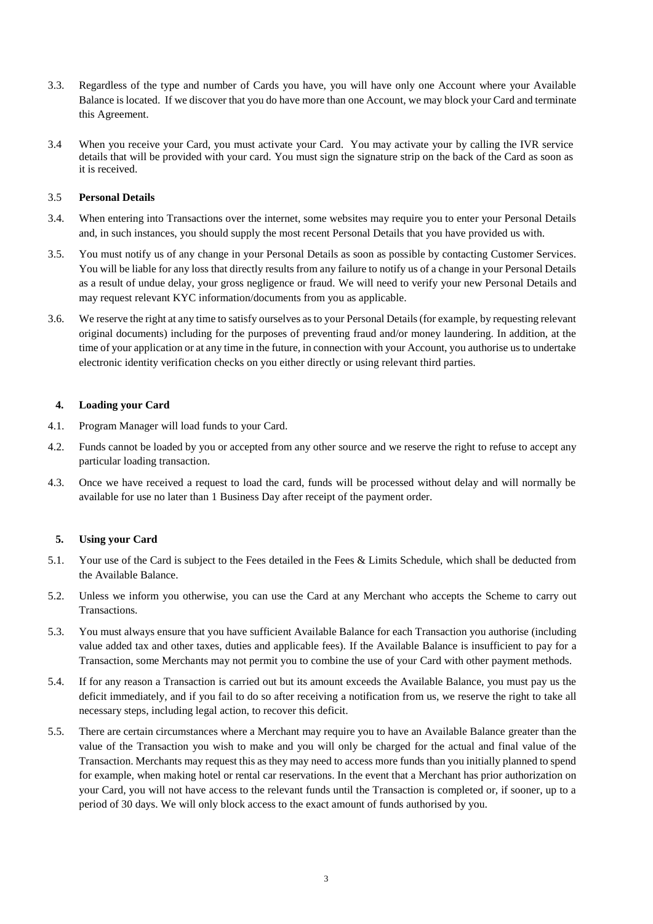- 3.3. Regardless of the type and number of Cards you have, you will have only one Account where your Available Balance is located. If we discover that you do have more than one Account, we may block your Card and terminate this Agreement.
- 3.4 When you receive your Card, you must activate your Card. You may activate your by calling the IVR service details that will be provided with your card. You must sign the signature strip on the back of the Card as soon as it is received.

## 3.5 **Personal Details**

- 3.4. When entering into Transactions over the internet, some websites may require you to enter your Personal Details and, in such instances, you should supply the most recent Personal Details that you have provided us with.
- 3.5. You must notify us of any change in your Personal Details as soon as possible by contacting Customer Services. You will be liable for any loss that directly results from any failure to notify us of a change in your Personal Details as a result of undue delay, your gross negligence or fraud. We will need to verify your new Personal Details and may request relevant KYC information/documents from you as applicable.
- 3.6. We reserve the right at any time to satisfy ourselves as to your Personal Details (for example, by requesting relevant original documents) including for the purposes of preventing fraud and/or money laundering. In addition, at the time of your application or at any time in the future, in connection with your Account, you authorise us to undertake electronic identity verification checks on you either directly or using relevant third parties.

## **4. Loading your Card**

- 4.1. Program Manager will load funds to your Card.
- 4.2. Funds cannot be loaded by you or accepted from any other source and we reserve the right to refuse to accept any particular loading transaction.
- 4.3. Once we have received a request to load the card, funds will be processed without delay and will normally be available for use no later than 1 Business Day after receipt of the payment order.

## **5. Using your Card**

- 5.1. Your use of the Card is subject to the Fees detailed in the Fees & Limits Schedule, which shall be deducted from the Available Balance.
- 5.2. Unless we inform you otherwise, you can use the Card at any Merchant who accepts the Scheme to carry out Transactions.
- 5.3. You must always ensure that you have sufficient Available Balance for each Transaction you authorise (including value added tax and other taxes, duties and applicable fees). If the Available Balance is insufficient to pay for a Transaction, some Merchants may not permit you to combine the use of your Card with other payment methods.
- 5.4. If for any reason a Transaction is carried out but its amount exceeds the Available Balance, you must pay us the deficit immediately, and if you fail to do so after receiving a notification from us, we reserve the right to take all necessary steps, including legal action, to recover this deficit.
- 5.5. There are certain circumstances where a Merchant may require you to have an Available Balance greater than the value of the Transaction you wish to make and you will only be charged for the actual and final value of the Transaction. Merchants may request this as they may need to access more funds than you initially planned to spend for example, when making hotel or rental car reservations. In the event that a Merchant has prior authorization on your Card, you will not have access to the relevant funds until the Transaction is completed or, if sooner, up to a period of 30 days. We will only block access to the exact amount of funds authorised by you.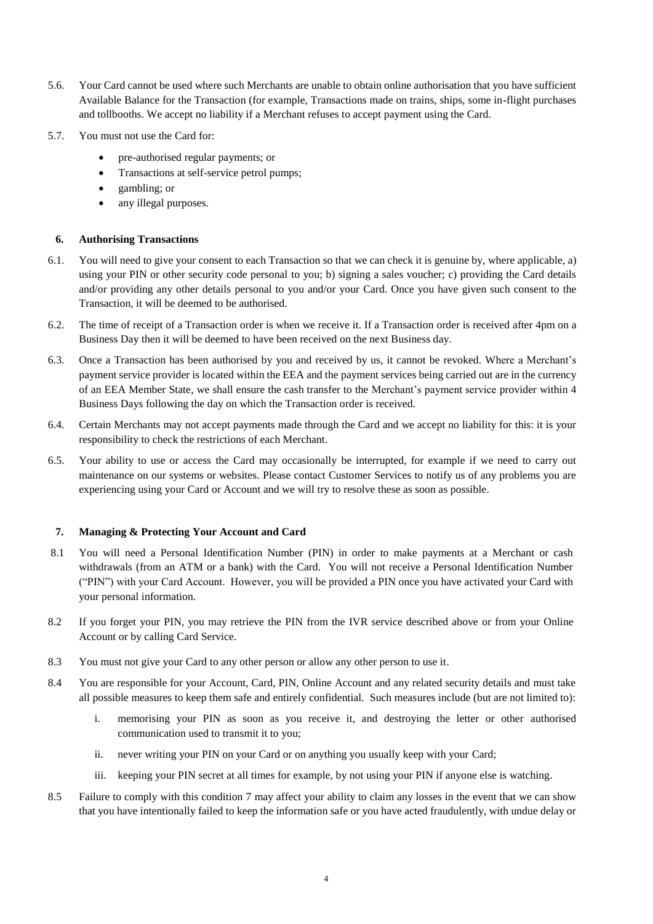- 5.6. Your Card cannot be used where such Merchants are unable to obtain online authorisation that you have sufficient Available Balance for the Transaction (for example, Transactions made on trains, ships, some in-flight purchases and tollbooths. We accept no liability if a Merchant refuses to accept payment using the Card.
- 5.7. You must not use the Card for:
	- pre-authorised regular payments; or
	- Transactions at self-service petrol pumps;
	- gambling; or
	- any illegal purposes.

### **6. Authorising Transactions**

- 6.1. You will need to give your consent to each Transaction so that we can check it is genuine by, where applicable, a) using your PIN or other security code personal to you; b) signing a sales voucher; c) providing the Card details and/or providing any other details personal to you and/or your Card. Once you have given such consent to the Transaction, it will be deemed to be authorised.
- 6.2. The time of receipt of a Transaction order is when we receive it. If a Transaction order is received after 4pm on a Business Day then it will be deemed to have been received on the next Business day.
- 6.3. Once a Transaction has been authorised by you and received by us, it cannot be revoked. Where a Merchant's payment service provider is located within the EEA and the payment services being carried out are in the currency of an EEA Member State, we shall ensure the cash transfer to the Merchant's payment service provider within 4 Business Days following the day on which the Transaction order is received.
- 6.4. Certain Merchants may not accept payments made through the Card and we accept no liability for this: it is your responsibility to check the restrictions of each Merchant.
- 6.5. Your ability to use or access the Card may occasionally be interrupted, for example if we need to carry out maintenance on our systems or websites. Please contact Customer Services to notify us of any problems you are experiencing using your Card or Account and we will try to resolve these as soon as possible.

### <span id="page-3-0"></span>**7. Managing & Protecting Your Account and Card**

- 8.1 You will need a Personal Identification Number (PIN) in order to make payments at a Merchant or cash withdrawals (from an ATM or a bank) with the Card. You will not receive a Personal Identification Number ("PIN") with your Card Account. However, you will be provided a PIN once you have activated your Card with your personal information.
- 8.2 If you forget your PIN, you may retrieve the PIN from the IVR service described above or from your Online Account or by calling Card Service.
- 8.3 You must not give your Card to any other person or allow any other person to use it.
- 8.4 You are responsible for your Account, Card, PIN, Online Account and any related security details and must take all possible measures to keep them safe and entirely confidential. Such measures include (but are not limited to):
	- i. memorising your PIN as soon as you receive it, and destroying the letter or other authorised communication used to transmit it to you;
	- ii. never writing your PIN on your Card or on anything you usually keep with your Card;
	- iii. keeping your PIN secret at all times for example, by not using your PIN if anyone else is watching.
- 8.5 Failure to comply with this condition [7](#page-3-0) may affect your ability to claim any losses in the event that we can show that you have intentionally failed to keep the information safe or you have acted fraudulently, with undue delay or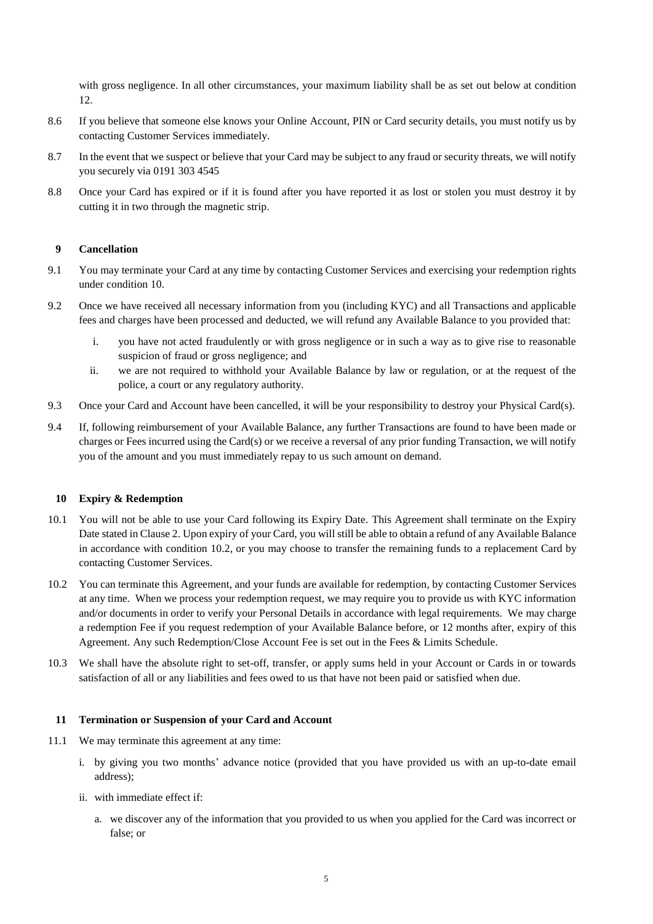with gross negligence. In all other circumstances, your maximum liability shall be as set out below at condition [12.](#page-5-0)

- 8.6 If you believe that someone else knows your Online Account, PIN or Card security details, you must notify us by contacting Customer Services immediately.
- 8.7 In the event that we suspect or believe that your Card may be subject to any fraud or security threats, we will notify you securely via 0191 303 4545
- 8.8 Once your Card has expired or if it is found after you have reported it as lost or stolen you must destroy it by cutting it in two through the magnetic strip.

#### **9 Cancellation**

- 9.1 You may terminate your Card at any time by contacting Customer Services and exercising your redemption rights under condition [10.](#page-4-0)
- 9.2 Once we have received all necessary information from you (including KYC) and all Transactions and applicable fees and charges have been processed and deducted, we will refund any Available Balance to you provided that:
	- i. you have not acted fraudulently or with gross negligence or in such a way as to give rise to reasonable suspicion of fraud or gross negligence; and
	- ii. we are not required to withhold your Available Balance by law or regulation, or at the request of the police, a court or any regulatory authority.
- 9.3 Once your Card and Account have been cancelled, it will be your responsibility to destroy your Physical Card(s).
- 9.4 If, following reimbursement of your Available Balance, any further Transactions are found to have been made or charges or Fees incurred using the Card(s) or we receive a reversal of any prior funding Transaction, we will notify you of the amount and you must immediately repay to us such amount on demand.

#### <span id="page-4-0"></span>**10 Expiry & Redemption**

- 10.1 You will not be able to use your Card following its Expiry Date. This Agreement shall terminate on the Expiry Date stated in Clause 2. Upon expiry of your Card, you will still be able to obtain a refund of any Available Balance in accordance with condition [10.2,](#page-4-1) or you may choose to transfer the remaining funds to a replacement Card by contacting Customer Services.
- <span id="page-4-1"></span>10.2 You can terminate this Agreement, and your funds are available for redemption, by contacting Customer Services at any time. When we process your redemption request, we may require you to provide us with KYC information and/or documents in order to verify your Personal Details in accordance with legal requirements. We may charge a redemption Fee if you request redemption of your Available Balance before, or 12 months after, expiry of this Agreement. Any such Redemption/Close Account Fee is set out in the Fees & Limits Schedule.
- 10.3 We shall have the absolute right to set-off, transfer, or apply sums held in your Account or Cards in or towards satisfaction of all or any liabilities and fees owed to us that have not been paid or satisfied when due.

#### **11 Termination or Suspension of your Card and Account**

- 11.1 We may terminate this agreement at any time:
	- i. by giving you two months' advance notice (provided that you have provided us with an up-to-date email address);
	- ii. with immediate effect if:
		- a. we discover any of the information that you provided to us when you applied for the Card was incorrect or false; or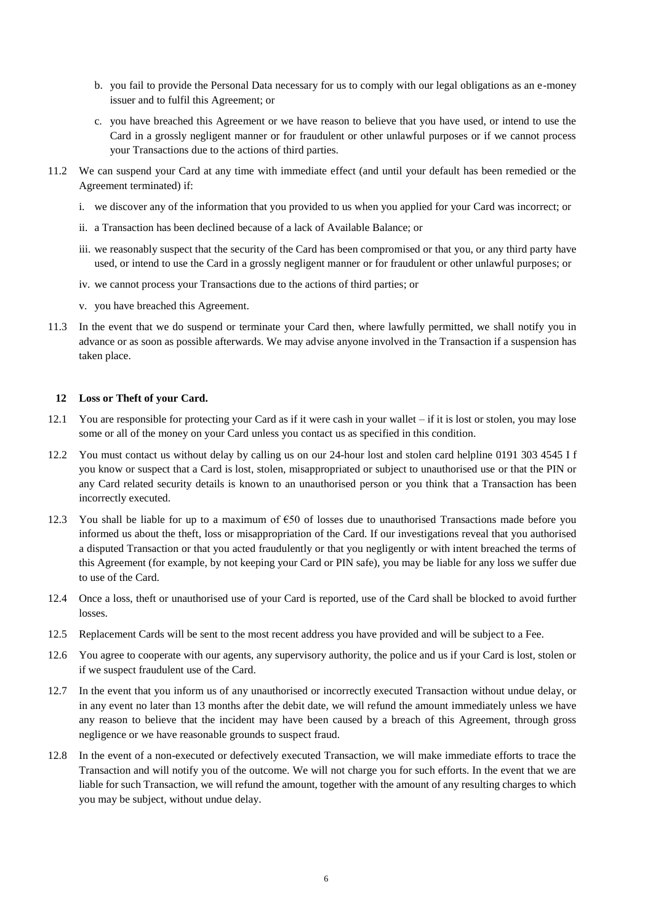- b. you fail to provide the Personal Data necessary for us to comply with our legal obligations as an e-money issuer and to fulfil this Agreement; or
- c. you have breached this Agreement or we have reason to believe that you have used, or intend to use the Card in a grossly negligent manner or for fraudulent or other unlawful purposes or if we cannot process your Transactions due to the actions of third parties.
- 11.2 We can suspend your Card at any time with immediate effect (and until your default has been remedied or the Agreement terminated) if:
	- i. we discover any of the information that you provided to us when you applied for your Card was incorrect; or
	- ii. a Transaction has been declined because of a lack of Available Balance; or
	- iii. we reasonably suspect that the security of the Card has been compromised or that you, or any third party have used, or intend to use the Card in a grossly negligent manner or for fraudulent or other unlawful purposes; or
	- iv. we cannot process your Transactions due to the actions of third parties; or
	- v. you have breached this Agreement.
- 11.3 In the event that we do suspend or terminate your Card then, where lawfully permitted, we shall notify you in advance or as soon as possible afterwards. We may advise anyone involved in the Transaction if a suspension has taken place.

#### <span id="page-5-0"></span>**12 Loss or Theft of your Card.**

- 12.1 You are responsible for protecting your Card as if it were cash in your wallet  $-i$  if it is lost or stolen, you may lose some or all of the money on your Card unless you contact us as specified in this condition.
- 12.2 You must contact us without delay by calling us on our 24-hour lost and stolen card helpline 0191 303 4545 I f you know or suspect that a Card is lost, stolen, misappropriated or subject to unauthorised use or that the PIN or any Card related security details is known to an unauthorised person or you think that a Transaction has been incorrectly executed.
- 12.3 You shall be liable for up to a maximum of €50 of losses due to unauthorised Transactions made before you informed us about the theft, loss or misappropriation of the Card. If our investigations reveal that you authorised a disputed Transaction or that you acted fraudulently or that you negligently or with intent breached the terms of this Agreement (for example, by not keeping your Card or PIN safe), you may be liable for any loss we suffer due to use of the Card.
- 12.4 Once a loss, theft or unauthorised use of your Card is reported, use of the Card shall be blocked to avoid further losses.
- 12.5 Replacement Cards will be sent to the most recent address you have provided and will be subject to a Fee.
- 12.6 You agree to cooperate with our agents, any supervisory authority, the police and us if your Card is lost, stolen or if we suspect fraudulent use of the Card.
- 12.7 In the event that you inform us of any unauthorised or incorrectly executed Transaction without undue delay, or in any event no later than 13 months after the debit date, we will refund the amount immediately unless we have any reason to believe that the incident may have been caused by a breach of this Agreement, through gross negligence or we have reasonable grounds to suspect fraud.
- 12.8 In the event of a non-executed or defectively executed Transaction, we will make immediate efforts to trace the Transaction and will notify you of the outcome. We will not charge you for such efforts. In the event that we are liable for such Transaction, we will refund the amount, together with the amount of any resulting charges to which you may be subject, without undue delay.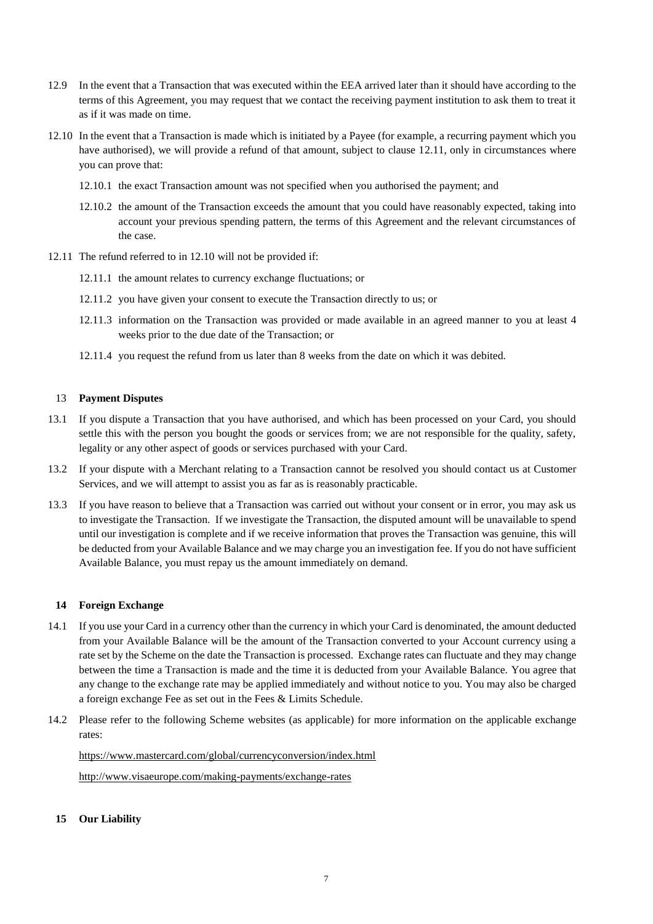- 12.9 In the event that a Transaction that was executed within the EEA arrived later than it should have according to the terms of this Agreement, you may request that we contact the receiving payment institution to ask them to treat it as if it was made on time.
- 12.10 In the event that a Transaction is made which is initiated by a Payee (for example, a recurring payment which you have authorised), we will provide a refund of that amount, subject to clause 12.11, only in circumstances where you can prove that:
	- 12.10.1 the exact Transaction amount was not specified when you authorised the payment; and
	- 12.10.2 the amount of the Transaction exceeds the amount that you could have reasonably expected, taking into account your previous spending pattern, the terms of this Agreement and the relevant circumstances of the case.
- 12.11 The refund referred to in 12.10 will not be provided if:
	- 12.11.1 the amount relates to currency exchange fluctuations; or
	- 12.11.2 you have given your consent to execute the Transaction directly to us; or
	- 12.11.3 information on the Transaction was provided or made available in an agreed manner to you at least 4 weeks prior to the due date of the Transaction; or
	- 12.11.4 you request the refund from us later than 8 weeks from the date on which it was debited.

#### 13 **Payment Disputes**

- 13.1 If you dispute a Transaction that you have authorised, and which has been processed on your Card, you should settle this with the person you bought the goods or services from; we are not responsible for the quality, safety, legality or any other aspect of goods or services purchased with your Card.
- 13.2 If your dispute with a Merchant relating to a Transaction cannot be resolved you should contact us at Customer Services, and we will attempt to assist you as far as is reasonably practicable.
- 13.3 If you have reason to believe that a Transaction was carried out without your consent or in error, you may ask us to investigate the Transaction. If we investigate the Transaction, the disputed amount will be unavailable to spend until our investigation is complete and if we receive information that proves the Transaction was genuine, this will be deducted from your Available Balance and we may charge you an investigation fee. If you do not have sufficient Available Balance, you must repay us the amount immediately on demand.

#### **14 Foreign Exchange**

- 14.1 If you use your Card in a currency other than the currency in which your Card is denominated, the amount deducted from your Available Balance will be the amount of the Transaction converted to your Account currency using a rate set by the Scheme on the date the Transaction is processed. Exchange rates can fluctuate and they may change between the time a Transaction is made and the time it is deducted from your Available Balance. You agree that any change to the exchange rate may be applied immediately and without notice to you. You may also be charged a foreign exchange Fee as set out in the Fees & Limits Schedule.
- 14.2 Please refer to the following Scheme websites (as applicable) for more information on the applicable exchange rates:

<https://www.mastercard.com/global/currencyconversion/index.html>

<http://www.visaeurope.com/making-payments/exchange-rates>

#### **15 Our Liability**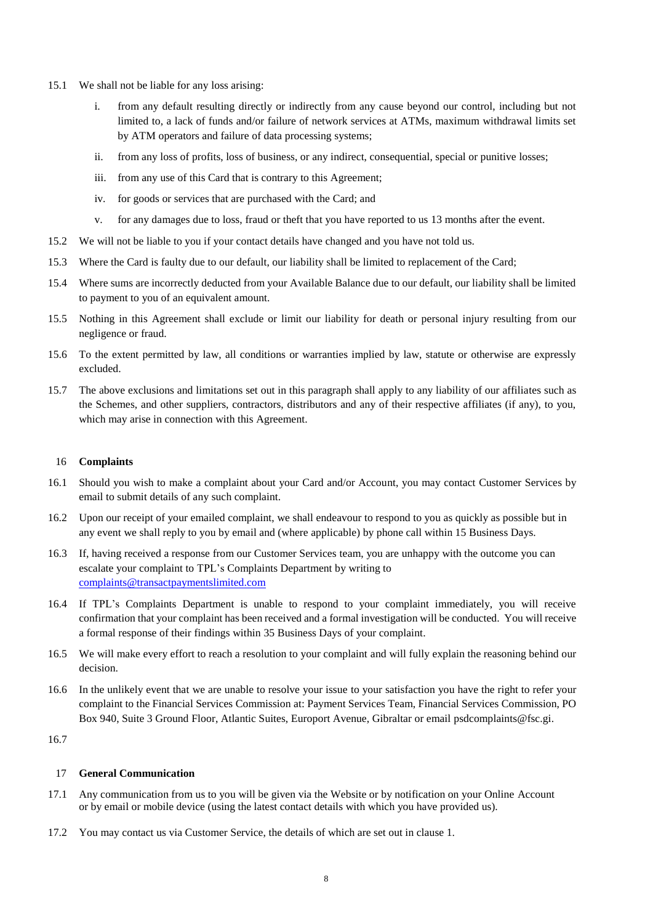- 15.1 We shall not be liable for any loss arising:
	- i. from any default resulting directly or indirectly from any cause beyond our control, including but not limited to, a lack of funds and/or failure of network services at ATMs, maximum withdrawal limits set by ATM operators and failure of data processing systems;
	- ii. from any loss of profits, loss of business, or any indirect, consequential, special or punitive losses;
	- iii. from any use of this Card that is contrary to this Agreement;
	- iv. for goods or services that are purchased with the Card; and
	- v. for any damages due to loss, fraud or theft that you have reported to us 13 months after the event.
- 15.2 We will not be liable to you if your contact details have changed and you have not told us.
- 15.3 Where the Card is faulty due to our default, our liability shall be limited to replacement of the Card;
- 15.4 Where sums are incorrectly deducted from your Available Balance due to our default, our liability shall be limited to payment to you of an equivalent amount.
- 15.5 Nothing in this Agreement shall exclude or limit our liability for death or personal injury resulting from our negligence or fraud.
- 15.6 To the extent permitted by law, all conditions or warranties implied by law, statute or otherwise are expressly excluded.
- 15.7 The above exclusions and limitations set out in this paragraph shall apply to any liability of our affiliates such as the Schemes, and other suppliers, contractors, distributors and any of their respective affiliates (if any), to you, which may arise in connection with this Agreement.

### 16 **Complaints**

- 16.1 Should you wish to make a complaint about your Card and/or Account, you may contact Customer Services by email to submit details of any such complaint.
- 16.2 Upon our receipt of your emailed complaint, we shall endeavour to respond to you as quickly as possible but in any event we shall reply to you by email and (where applicable) by phone call within 15 Business Days.
- 16.3 If, having received a response from our Customer Services team, you are unhappy with the outcome you can escalate your complaint to TPL's Complaints Department by writing to [complaints@transactpaymentslimited.com](mailto:complaints@transactpaymentslimited.com)
- 16.4 If TPL's Complaints Department is unable to respond to your complaint immediately, you will receive confirmation that your complaint has been received and a formal investigation will be conducted. You will receive a formal response of their findings within 35 Business Days of your complaint.
- 16.5 We will make every effort to reach a resolution to your complaint and will fully explain the reasoning behind our decision.
- 16.6 In the unlikely event that we are unable to resolve your issue to your satisfaction you have the right to refer your complaint to the Financial Services Commission at: Payment Services Team, Financial Services Commission, PO Box 940, Suite 3 Ground Floor, Atlantic Suites, Europort Avenue, Gibraltar or email [psdcomplaints@fsc.gi.](mailto:psdcomplaints@fsc.gi)

16.7

### 17 **General Communication**

- 17.1 Any communication from us to you will be given via the Website or by notification on your Online Account or by email or mobile device (using the latest contact details with which you have provided us).
- 17.2 You may contact us via Customer Service, the details of which are set out in clause 1.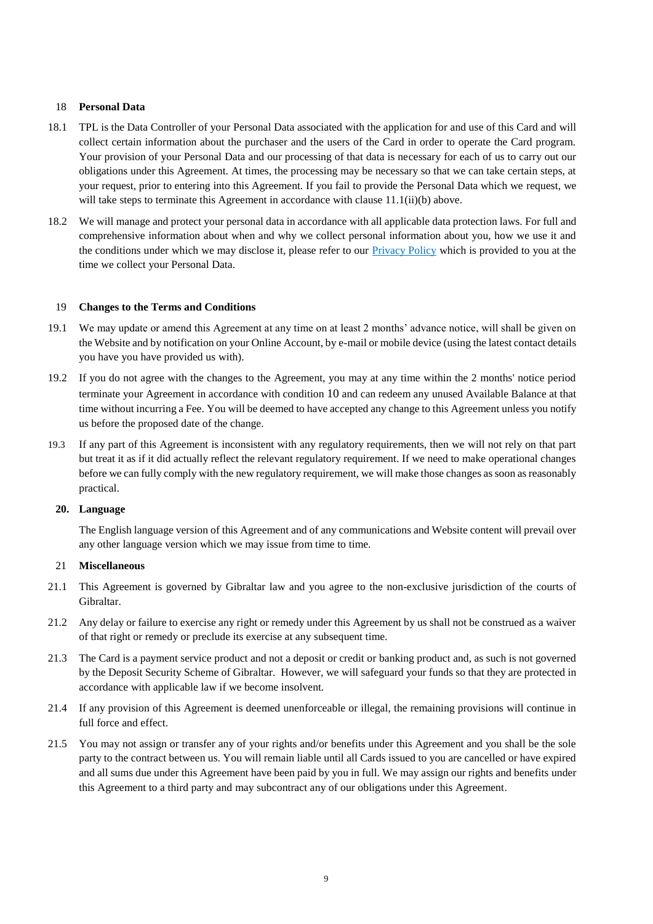### 18 **Personal Data**

- 18.1 TPL is the Data Controller of your Personal Data associated with the application for and use of this Card and will collect certain information about the purchaser and the users of the Card in order to operate the Card program. Your provision of your Personal Data and our processing of that data is necessary for each of us to carry out our obligations under this Agreement. At times, the processing may be necessary so that we can take certain steps, at your request, prior to entering into this Agreement. If you fail to provide the Personal Data which we request, we will take steps to terminate this Agreement in accordance with clause  $11.1(i)(b)$  above.
- 18.2 We will manage and protect your personal data in accordance with all applicable data protection laws. For full and comprehensive information about when and why we collect personal information about you, how we use it and the conditions under which we may disclose it, please refer to our **Privacy Policy** which is provided to you at the time we collect your Personal Data.

#### 19 **Changes to the Terms and Conditions**

- 19.1 We may update or amend this Agreement at any time on at least 2 months' advance notice, will shall be given on the Website and by notification on your Online Account, by e-mail or mobile device (using the latest contact details you have you have provided us with).
- 19.2 If you do not agree with the changes to the Agreement, you may at any time within the 2 months' notice period terminate your Agreement in accordance with condition [10](#page-4-0) and can redeem any unused Available Balance at that time without incurring a Fee. You will be deemed to have accepted any change to this Agreement unless you notify us before the proposed date of the change.
- 19.3 If any part of this Agreement is inconsistent with any regulatory requirements, then we will not rely on that part but treat it as if it did actually reflect the relevant regulatory requirement. If we need to make operational changes before we can fully comply with the new regulatory requirement, we will make those changes as soon as reasonably practical.

### **20. Language**

The English language version of this Agreement and of any communications and Website content will prevail over any other language version which we may issue from time to time.

#### 21 **Miscellaneous**

- 21.1 This Agreement is governed by Gibraltar law and you agree to the non-exclusive jurisdiction of the courts of Gibraltar.
- 21.2 Any delay or failure to exercise any right or remedy under this Agreement by us shall not be construed as a waiver of that right or remedy or preclude its exercise at any subsequent time.
- 21.3 The Card is a payment service product and not a deposit or credit or banking product and, as such is not governed by the Deposit Security Scheme of Gibraltar. However, we will safeguard your funds so that they are protected in accordance with applicable law if we become insolvent.
- 21.4 If any provision of this Agreement is deemed unenforceable or illegal, the remaining provisions will continue in full force and effect.
- 21.5 You may not assign or transfer any of your rights and/or benefits under this Agreement and you shall be the sole party to the contract between us. You will remain liable until all Cards issued to you are cancelled or have expired and all sums due under this Agreement have been paid by you in full. We may assign our rights and benefits under this Agreement to a third party and may subcontract any of our obligations under this Agreement.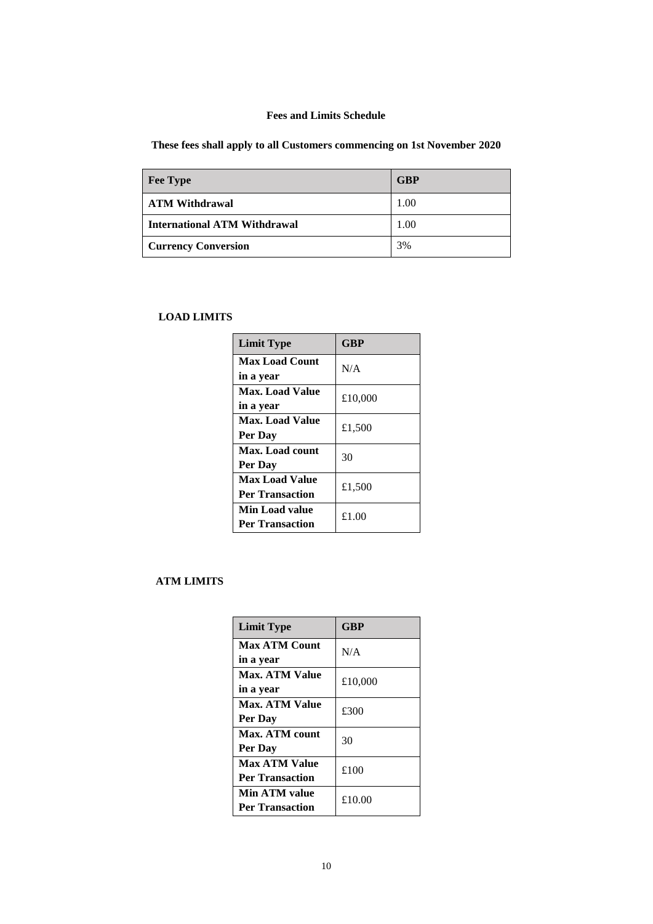# **Fees and Limits Schedule**

**These fees shall apply to all Customers commencing on 1st November 2020**

| <b>Fee Type</b>                     | <b>GBP</b> |
|-------------------------------------|------------|
| <b>ATM Withdrawal</b>               | 1.00       |
| <b>International ATM Withdrawal</b> | 1.00       |
| <b>Currency Conversion</b>          | 3%         |

## **LOAD LIMITS**

| <b>Limit Type</b>      | <b>GBP</b> |
|------------------------|------------|
| <b>Max Load Count</b>  | N/A        |
| in a year              |            |
| Max. Load Value        | £10,000    |
| in a year              |            |
| <b>Max. Load Value</b> | £1,500     |
| Per Dav                |            |
| <b>Max. Load count</b> | 30         |
| Per Dav                |            |
| <b>Max Load Value</b>  | £1,500     |
| <b>Per Transaction</b> |            |
| Min Load value         | £1.00      |
| <b>Per Transaction</b> |            |

# **ATM LIMITS**

| <b>Limit Type</b>      | GBP     |  |
|------------------------|---------|--|
| <b>Max ATM Count</b>   | N/A     |  |
| in a year              |         |  |
| <b>Max. ATM Value</b>  | £10,000 |  |
| in a year              |         |  |
| <b>Max. ATM Value</b>  | £300    |  |
| Per Day                |         |  |
| Max. ATM count         | 30      |  |
| Per Day                |         |  |
| <b>Max ATM Value</b>   | £100    |  |
| <b>Per Transaction</b> |         |  |
| Min ATM value          | £10.00  |  |
| <b>Per Transaction</b> |         |  |